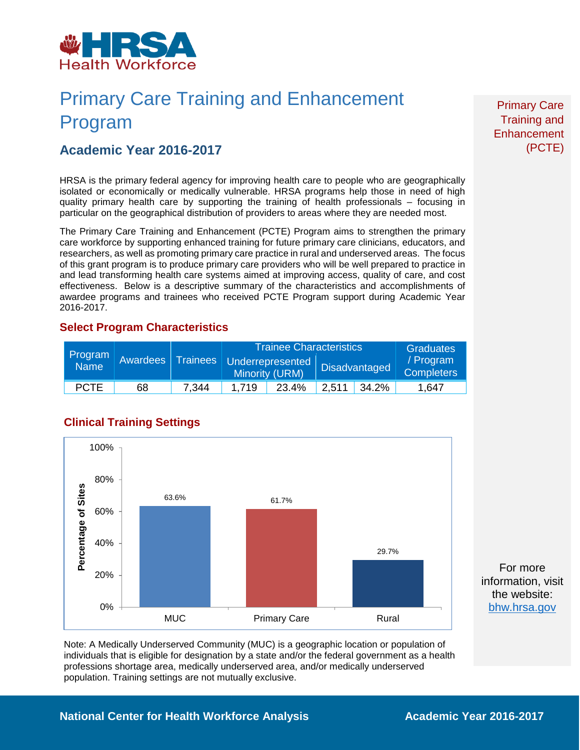

# Primary Care Training and Enhancement Program

### **Academic Year 2016-2017**

HRSA is the primary federal agency for improving health care to people who are geographically isolated or economically or medically vulnerable. HRSA programs help those in need of high quality primary health care by supporting the training of health professionals – focusing in particular on the geographical distribution of providers to areas where they are needed most.

The Primary Care Training and Enhancement (PCTE) Program aims to strengthen the primary care workforce by supporting enhanced training for future primary care clinicians, educators, and researchers, as well as promoting primary care practice in rural and underserved areas. The focus of this grant program is to produce primary care providers who will be well prepared to practice in and lead transforming health care systems aimed at improving access, quality of care, and cost effectiveness. Below is a descriptive summary of the characteristics and accomplishments of awardee programs and trainees who received PCTE Program support during Academic Year 2016-2017.

#### **Select Program Characteristics**

| Program<br><b>Name</b> | Awardees | <b>Trainees</b> | <b>Trainee Characteristics</b> |                                    |       |                      | <b>Graduates</b>               |
|------------------------|----------|-----------------|--------------------------------|------------------------------------|-------|----------------------|--------------------------------|
|                        |          |                 |                                | Underrepresented<br>Minority (URM) |       | <b>Disadvantaged</b> | / Program<br><b>Completers</b> |
| <b>PCTE</b>            | 68       | 7,344           | 1.719                          | 23.4%                              | 2.511 | 34.2%                | 1,647                          |



**Clinical Training Settings**

Note: A Medically Underserved Community (MUC) is a geographic location or population of individuals that is eligible for designation by a state and/or the federal government as a health professions shortage area, medically underserved area, and/or medically underserved population. Training settings are not mutually exclusive.

Primary Care Training and **Enhancement** (PCTE)

For more information, visit the website: [bhw.hrsa.gov](http://bhw.hrsa.gov/)

#### **National Center for Health Workforce Analysis Mational Center 2016-2017**